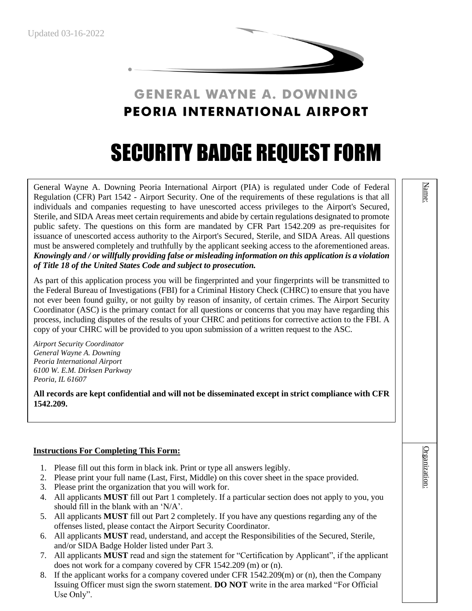

# **GENERAL WAYNE A. DOWNING PEORIA INTERNATIONAL AIRPORT**

# SECURITY BADGE REQUEST FORM

General Wayne A. Downing Peoria International Airport (PIA) is regulated under Code of Federal Regulation (CFR) Part 1542 - Airport Security. One of the requirements of these regulations is that all individuals and companies requesting to have unescorted access privileges to the Airport's Secured, Sterile, and SIDA Areas meet certain requirements and abide by certain regulations designated to promote public safety. The questions on this form are mandated by CFR Part 1542.209 as pre-requisites for issuance of unescorted access authority to the Airport's Secured, Sterile, and SIDA Areas. All questions must be answered completely and truthfully by the applicant seeking access to the aforementioned areas. *Knowingly and / or willfully providing false or misleading information on this application is a violation of Title 18 of the United States Code and subject to prosecution.*

As part of this application process you will be fingerprinted and your fingerprints will be transmitted to the Federal Bureau of Investigations (FBI) for a Criminal History Check (CHRC) to ensure that you have not ever been found guilty, or not guilty by reason of insanity, of certain crimes. The Airport Security Coordinator (ASC) is the primary contact for all questions or concerns that you may have regarding this process, including disputes of the results of your CHRC and petitions for corrective action to the FBI. A copy of your CHRC will be provided to you upon submission of a written request to the ASC.

*Airport Security Coordinator General Wayne A. Downing Peoria International Airport 6100 W. E.M. Dirksen Parkway Peoria, IL 61607*

**All records are kept confidential and will not be disseminated except in strict compliance with CFR 1542.209.**

### **Instructions For Completing This Form:**

- 1. Please fill out this form in black ink. Print or type all answers legibly.
- 2. Please print your full name (Last, First, Middle) on this cover sheet in the space provided.
- 3. Please print the organization that you will work for.
- 4. All applicants **MUST** fill out Part 1 completely. If a particular section does not apply to you, you should fill in the blank with an 'N/A'.
- 5. All applicants **MUST** fill out Part 2 completely. If you have any questions regarding any of the offenses listed, please contact the Airport Security Coordinator.
- 6. All applicants **MUST** read, understand, and accept the Responsibilities of the Secured, Sterile, and/or SIDA Badge Holder listed under Part 3.
- 7. All applicants **MUST** read and sign the statement for "Certification by Applicant", if the applicant does not work for a company covered by CFR 1542.209 (m) or (n).
- 8. If the applicant works for a company covered under CFR 1542.209(m) or (n), then the Company Issuing Officer must sign the sworn statement. **DO NOT** write in the area marked "For Official Use Only".

Organization: Organization:

Name: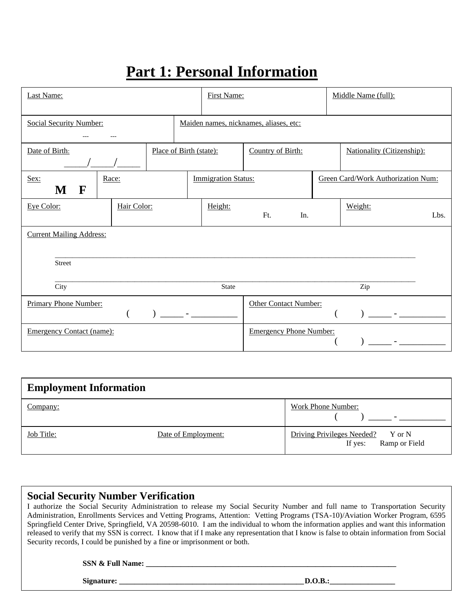# **Part 1: Personal Information**

| Last Name:                       |             |                         |               | <b>First Name:</b>         |                                        | Middle Name (full):                |      |
|----------------------------------|-------------|-------------------------|---------------|----------------------------|----------------------------------------|------------------------------------|------|
| <b>Social Security Number:</b>   |             |                         |               |                            | Maiden names, nicknames, aliases, etc: |                                    |      |
| Date of Birth:                   |             | Place of Birth (state): |               |                            | Country of Birth:                      | Nationality (Citizenship):         |      |
| Sex:<br>$\mathbf F$<br>M         | Race:       |                         |               | <b>Immigration Status:</b> |                                        | Green Card/Work Authorization Num: |      |
| Eye Color:                       | Hair Color: |                         |               | Height:                    | Ft.<br>In.                             | Weight:                            | Lbs. |
| <b>Current Mailing Address:</b>  |             |                         |               |                            |                                        |                                    |      |
| <b>Street</b>                    |             |                         |               |                            |                                        |                                    |      |
| City                             |             |                         |               | State                      |                                        | Zip                                |      |
| Primary Phone Number:            |             |                         | $\frac{1}{2}$ |                            | <b>Other Contact Number:</b>           | and the second control of the      |      |
| <b>Emergency Contact (name):</b> |             |                         |               |                            | <b>Emergency Phone Number:</b>         |                                    |      |

| <b>Employment Information</b> |                     |                                                               |
|-------------------------------|---------------------|---------------------------------------------------------------|
| Company:                      |                     | <b>Work Phone Number:</b>                                     |
| <b>Job Title:</b>             | Date of Employment: | Driving Privileges Needed? Y or N<br>Ramp or Field<br>If yes: |

# **Social Security Number Verification**

I authorize the Social Security Administration to release my Social Security Number and full name to Transportation Security Administration, Enrollments Services and Vetting Programs, Attention: Vetting Programs (TSA-10)/Aviation Worker Program, 6595 Springfield Center Drive, Springfield, VA 20598-6010. I am the individual to whom the information applies and want this information released to verify that my SSN is correct. I know that if I make any representation that I know is false to obtain information from Social Security records, I could be punished by a fine or imprisonment or both.

**SSN & Full Name: \_\_\_\_\_\_\_\_\_\_\_\_\_\_\_\_\_\_\_\_\_\_\_\_\_\_\_\_\_\_\_\_\_\_\_\_\_\_\_\_\_\_\_\_\_\_\_\_\_\_\_\_\_\_\_\_\_\_\_\_\_\_\_\_\_**

**Signature: \_\_\_\_\_\_\_\_\_\_\_\_\_\_\_\_\_\_\_\_\_\_\_\_\_\_\_\_\_\_\_\_\_\_\_\_\_\_\_\_\_\_\_\_\_\_\_\_D.O.B.:\_\_\_\_\_\_\_\_\_\_\_\_\_\_\_\_\_**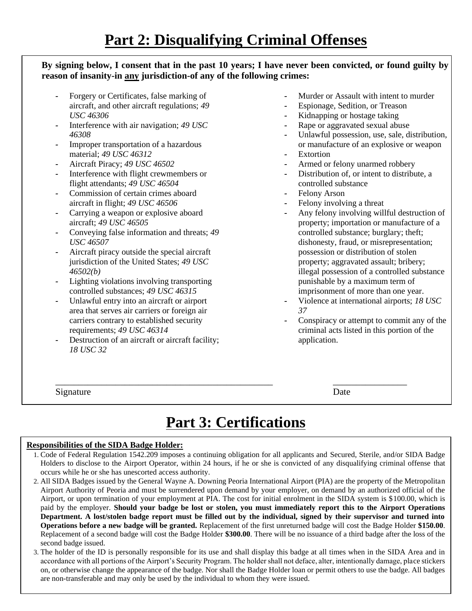## **By signing below, I consent that in the past 10 years; I have never been convicted, or found guilty by reason of insanity-in any jurisdiction-of any of the following crimes:**

- *-* Forgery or Certificates, false marking of aircraft, and other aircraft regulations; *49 USC 46306*
- *-* Interference with air navigation; *49 USC 46308*
- *-* Improper transportation of a hazardous material; *49 USC 46312*
- *-* Aircraft Piracy; *49 USC 46502*
- *-* Interference with flight crewmembers or flight attendants; *49 USC 46504*
- *-* Commission of certain crimes aboard aircraft in flight; *49 USC 46506*
- *-* Carrying a weapon or explosive aboard aircraft; *49 USC 46505*
- *-* Conveying false information and threats; *49 USC 46507*
- *-* Aircraft piracy outside the special aircraft jurisdiction of the United States; *49 USC 46502(b)*
- *-* Lighting violations involving transporting controlled substances; *49 USC 46315*
- *-* Unlawful entry into an aircraft or airport area that serves air carriers or foreign air carriers contrary to established security requirements; *49 USC 46314*
- *-* Destruction of an aircraft or aircraft facility; *18 USC 32*
- *-* Murder or Assault with intent to murder
- *-* Espionage, Sedition, or Treason
- *-* Kidnapping or hostage taking
- *-* Rape or aggravated sexual abuse
- *-* Unlawful possession, use, sale, distribution, or manufacture of an explosive or weapon
- *-* Extortion
- *-* Armed or felony unarmed robbery
- *-* Distribution of, or intent to distribute, a controlled substance
- *-* Felony Arson
- *-* Felony involving a threat
- *-* Any felony involving willful destruction of property; importation or manufacture of a controlled substance; burglary; theft; dishonesty, fraud, or misrepresentation; possession or distribution of stolen property; aggravated assault; bribery; illegal possession of a controlled substance punishable by a maximum term of imprisonment of more than one year.
- *-* Violence at international airports; *18 USC 37*
- *-* Conspiracy or attempt to commit any of the criminal acts listed in this portion of the application.

Signature Date

\_\_\_\_\_\_\_\_\_\_\_\_\_\_\_\_\_\_\_\_\_\_\_\_\_\_\_\_\_\_\_\_\_\_\_\_\_\_\_\_\_\_\_\_\_\_\_ \_\_\_\_\_\_\_\_\_\_\_\_\_\_\_\_

# **Part 3: Certifications**

#### **Responsibilities of the SIDA Badge Holder:**

- 1. Code of Federal Regulation 1542.209 imposes a continuing obligation for all applicants and Secured, Sterile, and/or SIDA Badge Holders to disclose to the Airport Operator, within 24 hours, if he or she is convicted of any disqualifying criminal offense that occurs while he or she has unescorted access authority.
- 2. All SIDA Badges issued by the General Wayne A. Downing Peoria International Airport (PIA) are the property of the Metropolitan Airport Authority of Peoria and must be surrendered upon demand by your employer, on demand by an authorized official of the Airport, or upon termination of your employment at PIA. The cost for initial enrolment in the SIDA system is \$100.00, which is paid by the employer. **Should your badge be lost or stolen, you must immediately report this to the Airport Operations Department. A lost/stolen badge report must be filled out by the individual, signed by their supervisor and turned into Operations before a new badge will be granted.** Replacement of the first unreturned badge will cost the Badge Holder **\$150.00**. Replacement of a second badge will cost the Badge Holder **\$300.00**. There will be no issuance of a third badge after the loss of the second badge issued.
- 3. The holder of the ID is personally responsible for its use and shall display this badge at all times when in the SIDA Area and in accordance with all portions of the Airport's Security Program. The holder shall not deface, alter, intentionally damage, place stickers on, or otherwise change the appearance of the badge. Nor shall the Badge Holder loan or permit others to use the badge. All badges are non-transferable and may only be used by the individual to whom they were issued.